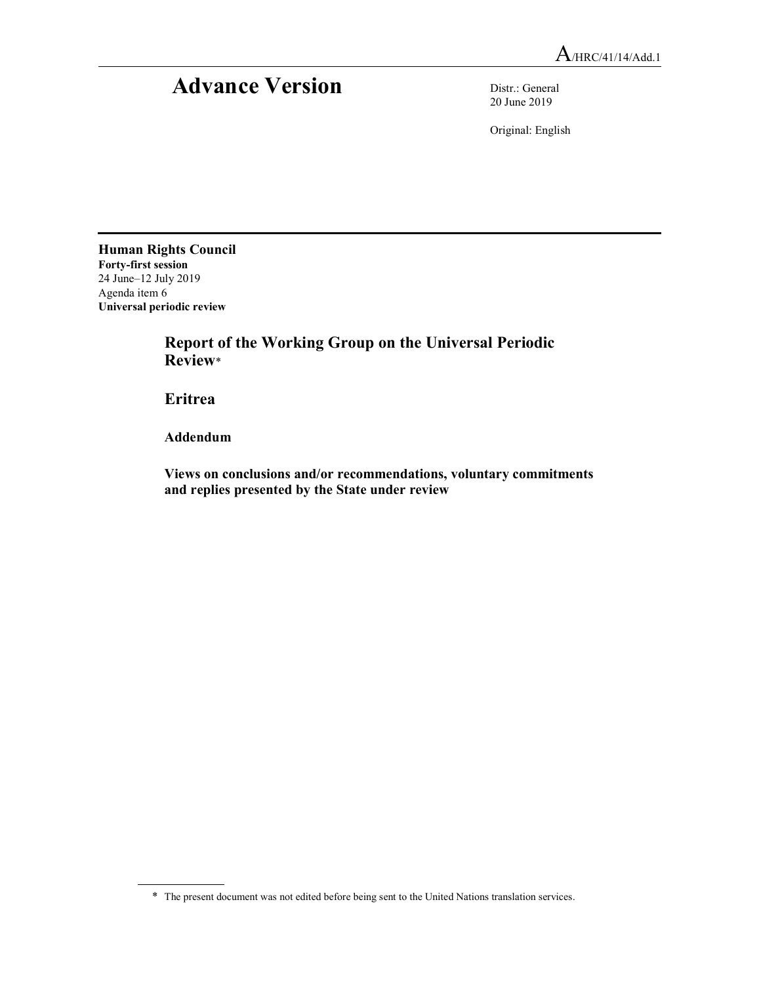## Advance Version Distr.: General

20 June 2019

Original: English

Human Rights Council Forty-first session 24 June–12 July 2019 Agenda item 6 Universal periodic review

> Report of the Working Group on the Universal Periodic Review\*

Eritrea

Addendum

 Views on conclusions and/or recommendations, voluntary commitments and replies presented by the State under review

<sup>\*</sup> The present document was not edited before being sent to the United Nations translation services.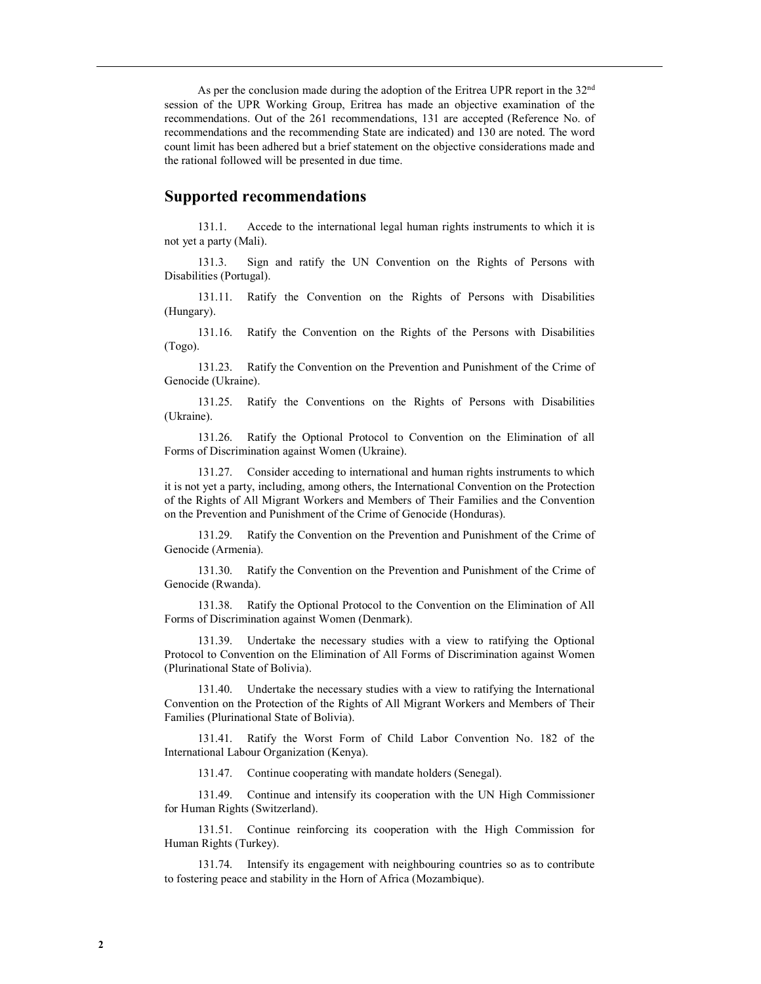As per the conclusion made during the adoption of the Eritrea UPR report in the  $32<sup>nd</sup>$ session of the UPR Working Group, Eritrea has made an objective examination of the recommendations. Out of the 261 recommendations, 131 are accepted (Reference No. of recommendations and the recommending State are indicated) and 130 are noted. The word count limit has been adhered but a brief statement on the objective considerations made and the rational followed will be presented in due time.

## Supported recommendations

131.1. Accede to the international legal human rights instruments to which it is not yet a party (Mali).

131.3. Sign and ratify the UN Convention on the Rights of Persons with Disabilities (Portugal).

131.11. Ratify the Convention on the Rights of Persons with Disabilities (Hungary).

131.16. Ratify the Convention on the Rights of the Persons with Disabilities (Togo).

131.23. Ratify the Convention on the Prevention and Punishment of the Crime of Genocide (Ukraine).

131.25. Ratify the Conventions on the Rights of Persons with Disabilities (Ukraine).

131.26. Ratify the Optional Protocol to Convention on the Elimination of all Forms of Discrimination against Women (Ukraine).

131.27. Consider acceding to international and human rights instruments to which it is not yet a party, including, among others, the International Convention on the Protection of the Rights of All Migrant Workers and Members of Their Families and the Convention on the Prevention and Punishment of the Crime of Genocide (Honduras).

131.29. Ratify the Convention on the Prevention and Punishment of the Crime of Genocide (Armenia).

131.30. Ratify the Convention on the Prevention and Punishment of the Crime of Genocide (Rwanda).

131.38. Ratify the Optional Protocol to the Convention on the Elimination of All Forms of Discrimination against Women (Denmark).

131.39. Undertake the necessary studies with a view to ratifying the Optional Protocol to Convention on the Elimination of All Forms of Discrimination against Women (Plurinational State of Bolivia).

131.40. Undertake the necessary studies with a view to ratifying the International Convention on the Protection of the Rights of All Migrant Workers and Members of Their Families (Plurinational State of Bolivia).

131.41. Ratify the Worst Form of Child Labor Convention No. 182 of the International Labour Organization (Kenya).

131.47. Continue cooperating with mandate holders (Senegal).

131.49. Continue and intensify its cooperation with the UN High Commissioner for Human Rights (Switzerland).

131.51. Continue reinforcing its cooperation with the High Commission for Human Rights (Turkey).

131.74. Intensify its engagement with neighbouring countries so as to contribute to fostering peace and stability in the Horn of Africa (Mozambique).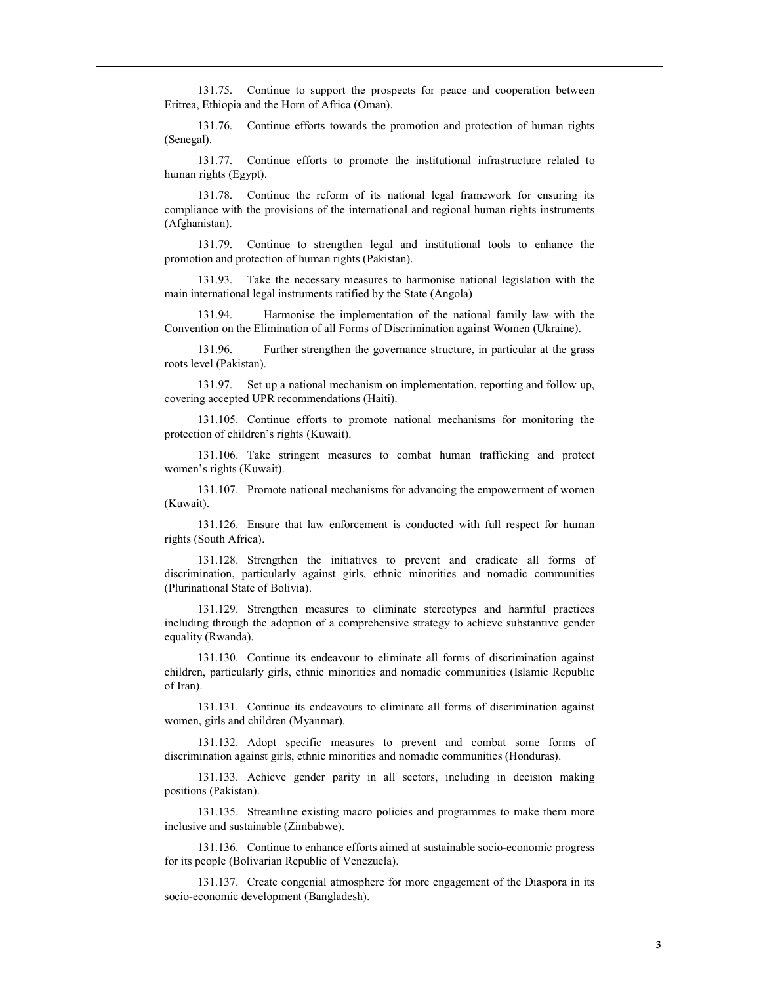131.75. Continue to support the prospects for peace and cooperation between Eritrea, Ethiopia and the Horn of Africa (Oman).

131.76. Continue efforts towards the promotion and protection of human rights (Senegal).

131.77. Continue efforts to promote the institutional infrastructure related to human rights (Egypt).

131.78. Continue the reform of its national legal framework for ensuring its compliance with the provisions of the international and regional human rights instruments (Afghanistan).

131.79. Continue to strengthen legal and institutional tools to enhance the promotion and protection of human rights (Pakistan).

131.93. Take the necessary measures to harmonise national legislation with the main international legal instruments ratified by the State (Angola)

131.94. Harmonise the implementation of the national family law with the Convention on the Elimination of all Forms of Discrimination against Women (Ukraine).

131.96. Further strengthen the governance structure, in particular at the grass roots level (Pakistan).

131.97. Set up a national mechanism on implementation, reporting and follow up, covering accepted UPR recommendations (Haiti).

131.105. Continue efforts to promote national mechanisms for monitoring the protection of children's rights (Kuwait).

131.106. Take stringent measures to combat human trafficking and protect women's rights (Kuwait).

131.107. Promote national mechanisms for advancing the empowerment of women (Kuwait).

131.126. Ensure that law enforcement is conducted with full respect for human rights (South Africa).

131.128. Strengthen the initiatives to prevent and eradicate all forms of discrimination, particularly against girls, ethnic minorities and nomadic communities (Plurinational State of Bolivia).

131.129. Strengthen measures to eliminate stereotypes and harmful practices including through the adoption of a comprehensive strategy to achieve substantive gender equality (Rwanda).

131.130. Continue its endeavour to eliminate all forms of discrimination against children, particularly girls, ethnic minorities and nomadic communities (Islamic Republic of Iran).

131.131. Continue its endeavours to eliminate all forms of discrimination against women, girls and children (Myanmar).

131.132. Adopt specific measures to prevent and combat some forms of discrimination against girls, ethnic minorities and nomadic communities (Honduras).

131.133. Achieve gender parity in all sectors, including in decision making positions (Pakistan).

131.135. Streamline existing macro policies and programmes to make them more inclusive and sustainable (Zimbabwe).

131.136. Continue to enhance efforts aimed at sustainable socio-economic progress for its people (Bolivarian Republic of Venezuela).

131.137. Create congenial atmosphere for more engagement of the Diaspora in its socio-economic development (Bangladesh).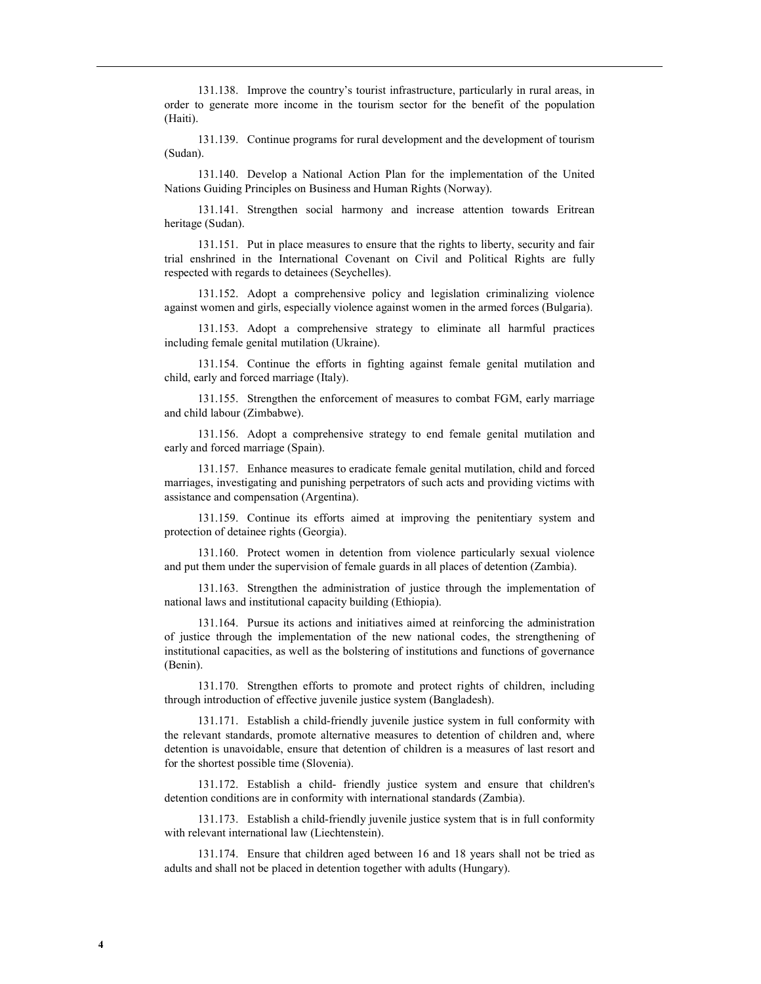131.138. Improve the country's tourist infrastructure, particularly in rural areas, in order to generate more income in the tourism sector for the benefit of the population (Haiti).

131.139. Continue programs for rural development and the development of tourism (Sudan).

131.140. Develop a National Action Plan for the implementation of the United Nations Guiding Principles on Business and Human Rights (Norway).

131.141. Strengthen social harmony and increase attention towards Eritrean heritage (Sudan).

131.151. Put in place measures to ensure that the rights to liberty, security and fair trial enshrined in the International Covenant on Civil and Political Rights are fully respected with regards to detainees (Seychelles).

131.152. Adopt a comprehensive policy and legislation criminalizing violence against women and girls, especially violence against women in the armed forces (Bulgaria).

131.153. Adopt a comprehensive strategy to eliminate all harmful practices including female genital mutilation (Ukraine).

131.154. Continue the efforts in fighting against female genital mutilation and child, early and forced marriage (Italy).

131.155. Strengthen the enforcement of measures to combat FGM, early marriage and child labour (Zimbabwe).

131.156. Adopt a comprehensive strategy to end female genital mutilation and early and forced marriage (Spain).

131.157. Enhance measures to eradicate female genital mutilation, child and forced marriages, investigating and punishing perpetrators of such acts and providing victims with assistance and compensation (Argentina).

131.159. Continue its efforts aimed at improving the penitentiary system and protection of detainee rights (Georgia).

131.160. Protect women in detention from violence particularly sexual violence and put them under the supervision of female guards in all places of detention (Zambia).

131.163. Strengthen the administration of justice through the implementation of national laws and institutional capacity building (Ethiopia).

131.164. Pursue its actions and initiatives aimed at reinforcing the administration of justice through the implementation of the new national codes, the strengthening of institutional capacities, as well as the bolstering of institutions and functions of governance (Benin).

131.170. Strengthen efforts to promote and protect rights of children, including through introduction of effective juvenile justice system (Bangladesh).

131.171. Establish a child-friendly juvenile justice system in full conformity with the relevant standards, promote alternative measures to detention of children and, where detention is unavoidable, ensure that detention of children is a measures of last resort and for the shortest possible time (Slovenia).

131.172. Establish a child- friendly justice system and ensure that children's detention conditions are in conformity with international standards (Zambia).

131.173. Establish a child-friendly juvenile justice system that is in full conformity with relevant international law (Liechtenstein).

131.174. Ensure that children aged between 16 and 18 years shall not be tried as adults and shall not be placed in detention together with adults (Hungary).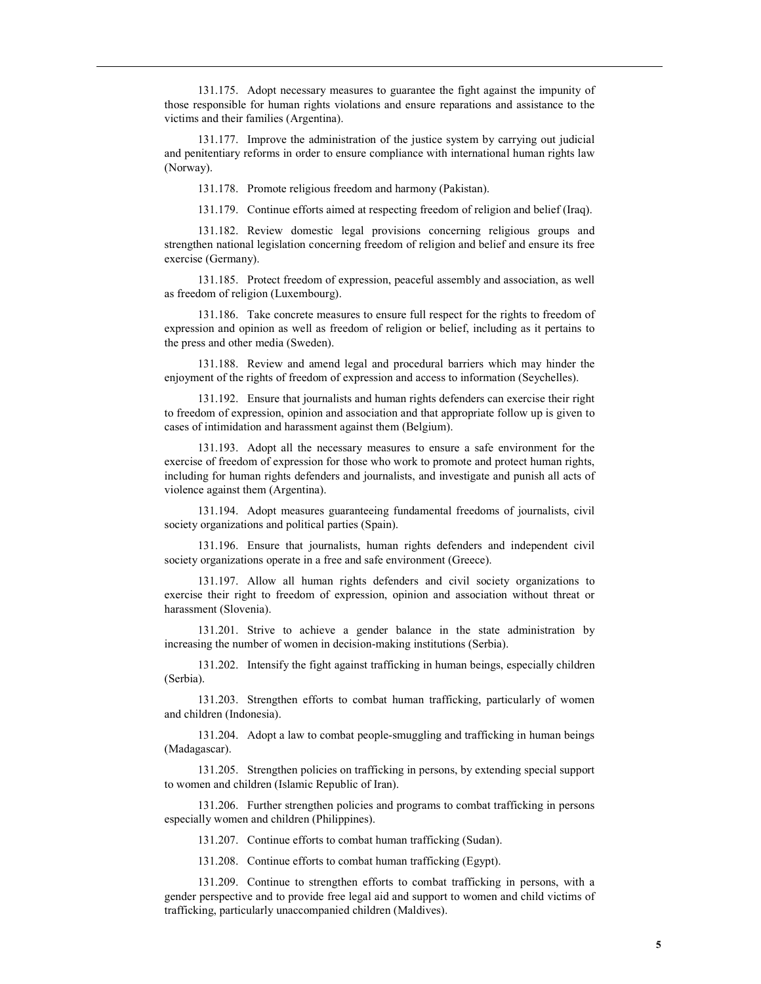131.175. Adopt necessary measures to guarantee the fight against the impunity of those responsible for human rights violations and ensure reparations and assistance to the victims and their families (Argentina).

131.177. Improve the administration of the justice system by carrying out judicial and penitentiary reforms in order to ensure compliance with international human rights law (Norway).

131.178. Promote religious freedom and harmony (Pakistan).

131.179. Continue efforts aimed at respecting freedom of religion and belief (Iraq).

131.182. Review domestic legal provisions concerning religious groups and strengthen national legislation concerning freedom of religion and belief and ensure its free exercise (Germany).

131.185. Protect freedom of expression, peaceful assembly and association, as well as freedom of religion (Luxembourg).

131.186. Take concrete measures to ensure full respect for the rights to freedom of expression and opinion as well as freedom of religion or belief, including as it pertains to the press and other media (Sweden).

131.188. Review and amend legal and procedural barriers which may hinder the enjoyment of the rights of freedom of expression and access to information (Seychelles).

131.192. Ensure that journalists and human rights defenders can exercise their right to freedom of expression, opinion and association and that appropriate follow up is given to cases of intimidation and harassment against them (Belgium).

131.193. Adopt all the necessary measures to ensure a safe environment for the exercise of freedom of expression for those who work to promote and protect human rights, including for human rights defenders and journalists, and investigate and punish all acts of violence against them (Argentina).

131.194. Adopt measures guaranteeing fundamental freedoms of journalists, civil society organizations and political parties (Spain).

131.196. Ensure that journalists, human rights defenders and independent civil society organizations operate in a free and safe environment (Greece).

131.197. Allow all human rights defenders and civil society organizations to exercise their right to freedom of expression, opinion and association without threat or harassment (Slovenia).

131.201. Strive to achieve a gender balance in the state administration by increasing the number of women in decision-making institutions (Serbia).

131.202. Intensify the fight against trafficking in human beings, especially children (Serbia).

131.203. Strengthen efforts to combat human trafficking, particularly of women and children (Indonesia).

131.204. Adopt a law to combat people-smuggling and trafficking in human beings (Madagascar).

131.205. Strengthen policies on trafficking in persons, by extending special support to women and children (Islamic Republic of Iran).

131.206. Further strengthen policies and programs to combat trafficking in persons especially women and children (Philippines).

131.207. Continue efforts to combat human trafficking (Sudan).

131.208. Continue efforts to combat human trafficking (Egypt).

131.209. Continue to strengthen efforts to combat trafficking in persons, with a gender perspective and to provide free legal aid and support to women and child victims of trafficking, particularly unaccompanied children (Maldives).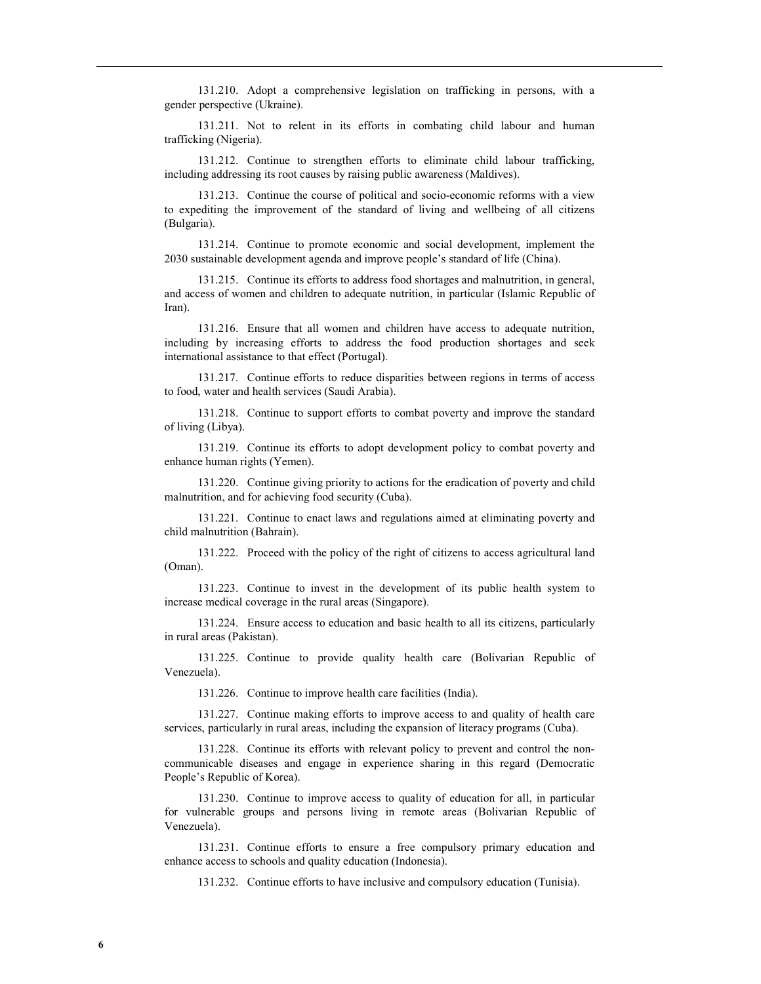131.210. Adopt a comprehensive legislation on trafficking in persons, with a gender perspective (Ukraine).

131.211. Not to relent in its efforts in combating child labour and human trafficking (Nigeria).

131.212. Continue to strengthen efforts to eliminate child labour trafficking, including addressing its root causes by raising public awareness (Maldives).

131.213. Continue the course of political and socio-economic reforms with a view to expediting the improvement of the standard of living and wellbeing of all citizens (Bulgaria).

131.214. Continue to promote economic and social development, implement the 2030 sustainable development agenda and improve people's standard of life (China).

131.215. Continue its efforts to address food shortages and malnutrition, in general, and access of women and children to adequate nutrition, in particular (Islamic Republic of Iran).

131.216. Ensure that all women and children have access to adequate nutrition, including by increasing efforts to address the food production shortages and seek international assistance to that effect (Portugal).

131.217. Continue efforts to reduce disparities between regions in terms of access to food, water and health services (Saudi Arabia).

131.218. Continue to support efforts to combat poverty and improve the standard of living (Libya).

131.219. Continue its efforts to adopt development policy to combat poverty and enhance human rights (Yemen).

131.220. Continue giving priority to actions for the eradication of poverty and child malnutrition, and for achieving food security (Cuba).

131.221. Continue to enact laws and regulations aimed at eliminating poverty and child malnutrition (Bahrain).

131.222. Proceed with the policy of the right of citizens to access agricultural land (Oman).

131.223. Continue to invest in the development of its public health system to increase medical coverage in the rural areas (Singapore).

131.224. Ensure access to education and basic health to all its citizens, particularly in rural areas (Pakistan).

131.225. Continue to provide quality health care (Bolivarian Republic of Venezuela).

131.226. Continue to improve health care facilities (India).

131.227. Continue making efforts to improve access to and quality of health care services, particularly in rural areas, including the expansion of literacy programs (Cuba).

131.228. Continue its efforts with relevant policy to prevent and control the noncommunicable diseases and engage in experience sharing in this regard (Democratic People's Republic of Korea).

131.230. Continue to improve access to quality of education for all, in particular for vulnerable groups and persons living in remote areas (Bolivarian Republic of Venezuela).

131.231. Continue efforts to ensure a free compulsory primary education and enhance access to schools and quality education (Indonesia).

131.232. Continue efforts to have inclusive and compulsory education (Tunisia).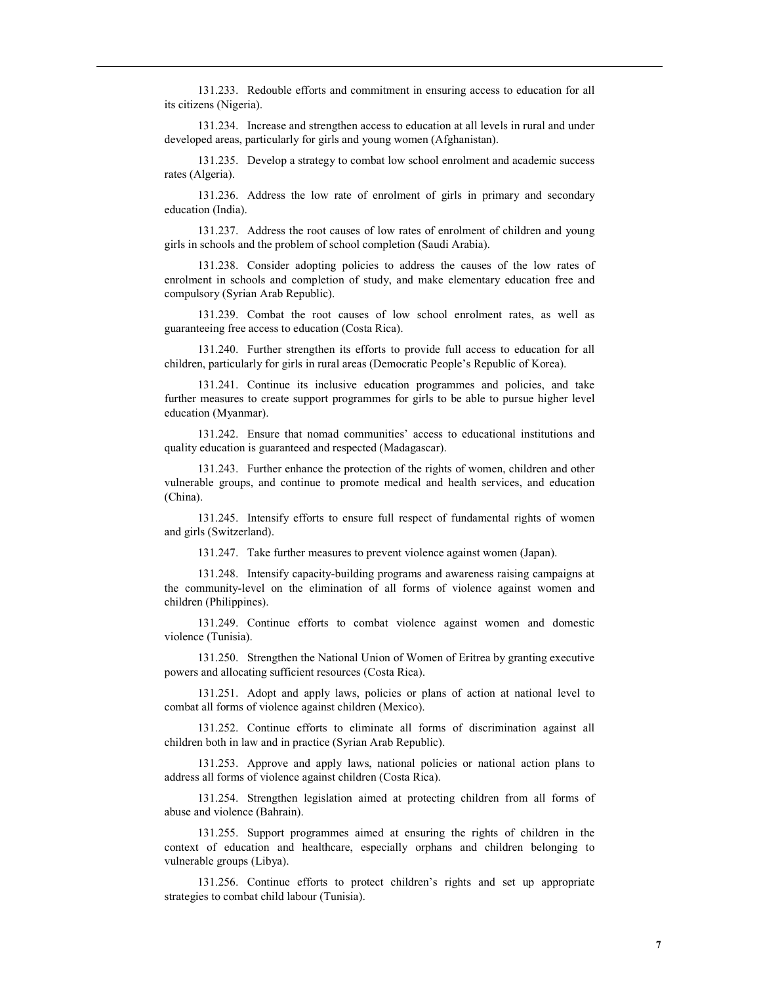131.233. Redouble efforts and commitment in ensuring access to education for all its citizens (Nigeria).

131.234. Increase and strengthen access to education at all levels in rural and under developed areas, particularly for girls and young women (Afghanistan).

131.235. Develop a strategy to combat low school enrolment and academic success rates (Algeria).

131.236. Address the low rate of enrolment of girls in primary and secondary education (India).

131.237. Address the root causes of low rates of enrolment of children and young girls in schools and the problem of school completion (Saudi Arabia).

131.238. Consider adopting policies to address the causes of the low rates of enrolment in schools and completion of study, and make elementary education free and compulsory (Syrian Arab Republic).

131.239. Combat the root causes of low school enrolment rates, as well as guaranteeing free access to education (Costa Rica).

131.240. Further strengthen its efforts to provide full access to education for all children, particularly for girls in rural areas (Democratic People's Republic of Korea).

131.241. Continue its inclusive education programmes and policies, and take further measures to create support programmes for girls to be able to pursue higher level education (Myanmar).

131.242. Ensure that nomad communities' access to educational institutions and quality education is guaranteed and respected (Madagascar).

131.243. Further enhance the protection of the rights of women, children and other vulnerable groups, and continue to promote medical and health services, and education (China).

131.245. Intensify efforts to ensure full respect of fundamental rights of women and girls (Switzerland).

131.247. Take further measures to prevent violence against women (Japan).

131.248. Intensify capacity-building programs and awareness raising campaigns at the community-level on the elimination of all forms of violence against women and children (Philippines).

131.249. Continue efforts to combat violence against women and domestic violence (Tunisia).

131.250. Strengthen the National Union of Women of Eritrea by granting executive powers and allocating sufficient resources (Costa Rica).

131.251. Adopt and apply laws, policies or plans of action at national level to combat all forms of violence against children (Mexico).

131.252. Continue efforts to eliminate all forms of discrimination against all children both in law and in practice (Syrian Arab Republic).

131.253. Approve and apply laws, national policies or national action plans to address all forms of violence against children (Costa Rica).

131.254. Strengthen legislation aimed at protecting children from all forms of abuse and violence (Bahrain).

131.255. Support programmes aimed at ensuring the rights of children in the context of education and healthcare, especially orphans and children belonging to vulnerable groups (Libya).

131.256. Continue efforts to protect children's rights and set up appropriate strategies to combat child labour (Tunisia).